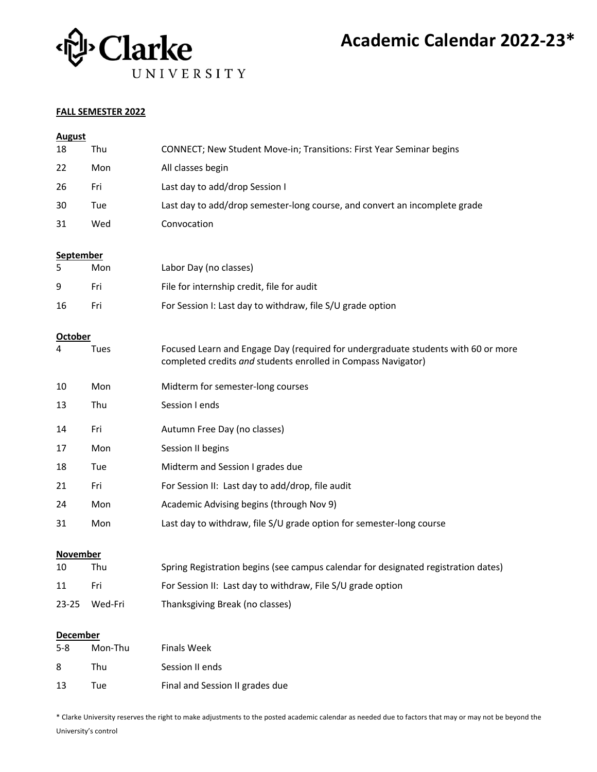

# **Academic Calendar 2022-23\***

#### **FALL SEMESTER 2022**

| <b>August</b>              |         |                                                                                                                                                    |  |  |
|----------------------------|---------|----------------------------------------------------------------------------------------------------------------------------------------------------|--|--|
| 18                         | Thu     | CONNECT; New Student Move-in; Transitions: First Year Seminar begins                                                                               |  |  |
| 22                         | Mon     | All classes begin                                                                                                                                  |  |  |
| 26                         | Fri     | Last day to add/drop Session I                                                                                                                     |  |  |
| 30                         | Tue     | Last day to add/drop semester-long course, and convert an incomplete grade                                                                         |  |  |
| 31                         | Wed     | Convocation                                                                                                                                        |  |  |
|                            |         |                                                                                                                                                    |  |  |
| <b>September</b><br>5      | Mon     | Labor Day (no classes)                                                                                                                             |  |  |
| 9                          | Fri     | File for internship credit, file for audit                                                                                                         |  |  |
| 16                         | Fri     | For Session I: Last day to withdraw, file S/U grade option                                                                                         |  |  |
|                            |         |                                                                                                                                                    |  |  |
| <b>October</b><br>4        | Tues    | Focused Learn and Engage Day (required for undergraduate students with 60 or more<br>completed credits and students enrolled in Compass Navigator) |  |  |
| 10                         | Mon     | Midterm for semester-long courses                                                                                                                  |  |  |
| 13                         | Thu     | Session I ends                                                                                                                                     |  |  |
| 14                         | Fri     | Autumn Free Day (no classes)                                                                                                                       |  |  |
| 17                         | Mon     | Session II begins                                                                                                                                  |  |  |
| 18                         | Tue     | Midterm and Session I grades due                                                                                                                   |  |  |
| 21                         | Fri     | For Session II: Last day to add/drop, file audit                                                                                                   |  |  |
| 24                         | Mon     | Academic Advising begins (through Nov 9)                                                                                                           |  |  |
| 31                         | Mon     | Last day to withdraw, file S/U grade option for semester-long course                                                                               |  |  |
| <b>November</b>            |         |                                                                                                                                                    |  |  |
| 10                         | Thu     | Spring Registration begins (see campus calendar for designated registration dates)                                                                 |  |  |
| 11                         | Fri     | For Session II: Last day to withdraw, File S/U grade option                                                                                        |  |  |
| 23-25                      | Wed-Fri | Thanksgiving Break (no classes)                                                                                                                    |  |  |
|                            |         |                                                                                                                                                    |  |  |
| <b>December</b><br>$5 - 8$ | Mon-Thu | <b>Finals Week</b>                                                                                                                                 |  |  |
| 8                          | Thu     | Session II ends                                                                                                                                    |  |  |
| 13                         | Tue     | Final and Session II grades due                                                                                                                    |  |  |

\* Clarke University reserves the right to make adjustments to the posted academic calendar as needed due to factors that may or may not be beyond the University's control